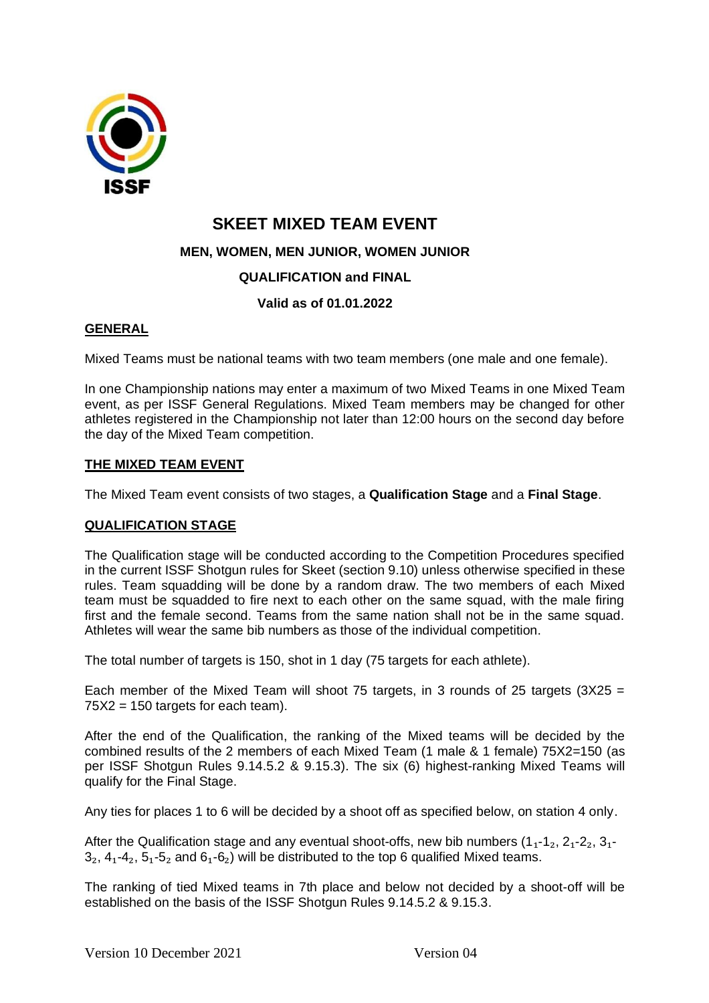

# **SKEET MIXED TEAM EVENT**

**MEN, WOMEN, MEN JUNIOR, WOMEN JUNIOR** 

## **QUALIFICATION and FINAL**

## **Valid as of 01.01.2022**

## **GENERAL**

Mixed Teams must be national teams with two team members (one male and one female).

In one Championship nations may enter a maximum of two Mixed Teams in one Mixed Team event, as per ISSF General Regulations. Mixed Team members may be changed for other athletes registered in the Championship not later than 12:00 hours on the second day before the day of the Mixed Team competition.

### **THE MIXED TEAM EVENT**

The Mixed Team event consists of two stages, a **Qualification Stage** and a **Final Stage**.

### **QUALIFICATION STAGE**

The Qualification stage will be conducted according to the Competition Procedures specified in the current ISSF Shotgun rules for Skeet (section 9.10) unless otherwise specified in these rules. Team squadding will be done by a random draw. The two members of each Mixed team must be squadded to fire next to each other on the same squad, with the male firing first and the female second. Teams from the same nation shall not be in the same squad. Athletes will wear the same bib numbers as those of the individual competition.

The total number of targets is 150, shot in 1 day (75 targets for each athlete).

Each member of the Mixed Team will shoot 75 targets, in 3 rounds of 25 targets  $(3X25 =$  $75X2 = 150$  targets for each team).

After the end of the Qualification, the ranking of the Mixed teams will be decided by the combined results of the 2 members of each Mixed Team (1 male & 1 female) 75X2=150 (as per ISSF Shotgun Rules 9.14.5.2 & 9.15.3). The six (6) highest-ranking Mixed Teams will qualify for the Final Stage.

Any ties for places 1 to 6 will be decided by a shoot off as specified below, on station 4 only.

After the Qualification stage and any eventual shoot-offs, new bib numbers  $(1_1-1_2, 2_1-2_2, 3_1-1_2)$  $3<sub>2</sub>$ ,  $4<sub>1</sub>$ - $4<sub>2</sub>$ ,  $5<sub>1</sub>$ - $5<sub>2</sub>$  and  $6<sub>1</sub>$ - $6<sub>2</sub>$ ) will be distributed to the top 6 qualified Mixed teams.

The ranking of tied Mixed teams in 7th place and below not decided by a shoot-off will be established on the basis of the ISSF Shotgun Rules 9.14.5.2 & 9.15.3.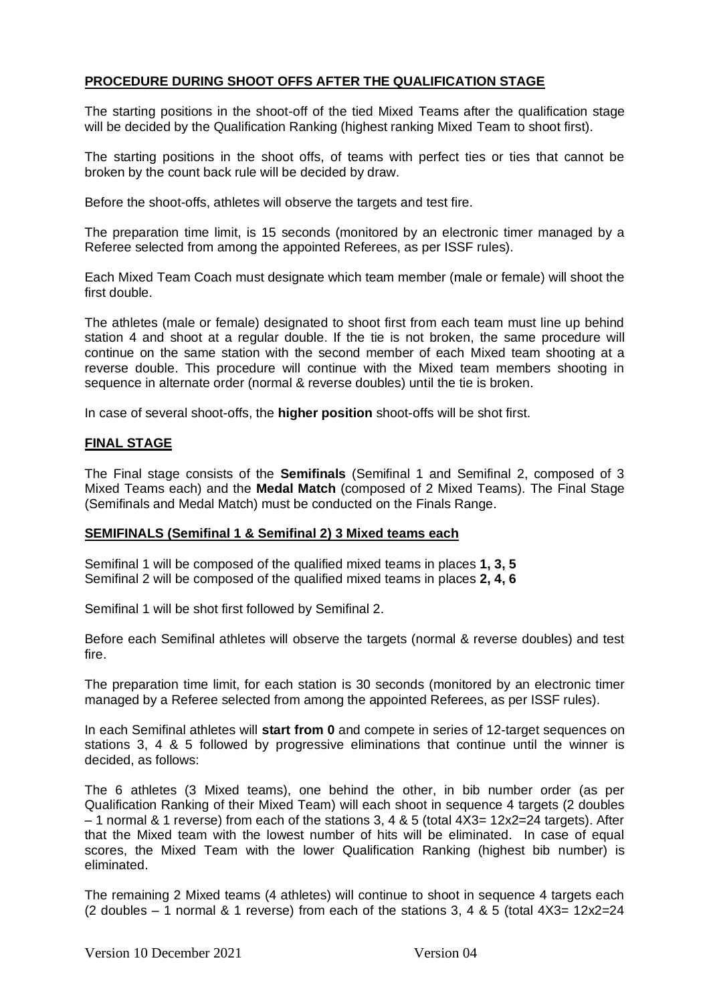### **PROCEDURE DURING SHOOT OFFS AFTER THE QUALIFICATION STAGE**

The starting positions in the shoot-off of the tied Mixed Teams after the qualification stage will be decided by the Qualification Ranking (highest ranking Mixed Team to shoot first).

The starting positions in the shoot offs, of teams with perfect ties or ties that cannot be broken by the count back rule will be decided by draw.

Before the shoot-offs, athletes will observe the targets and test fire.

The preparation time limit, is 15 seconds (monitored by an electronic timer managed by a Referee selected from among the appointed Referees, as per ISSF rules).

Each Mixed Team Coach must designate which team member (male or female) will shoot the first double.

The athletes (male or female) designated to shoot first from each team must line up behind station 4 and shoot at a regular double. If the tie is not broken, the same procedure will continue on the same station with the second member of each Mixed team shooting at a reverse double. This procedure will continue with the Mixed team members shooting in sequence in alternate order (normal & reverse doubles) until the tie is broken.

In case of several shoot-offs, the **higher position** shoot-offs will be shot first.

## **FINAL STAGE**

The Final stage consists of the **Semifinals** (Semifinal 1 and Semifinal 2, composed of 3 Mixed Teams each) and the **Medal Match** (composed of 2 Mixed Teams). The Final Stage (Semifinals and Medal Match) must be conducted on the Finals Range.

#### **SEMIFINALS (Semifinal 1 & Semifinal 2) 3 Mixed teams each**

Semifinal 1 will be composed of the qualified mixed teams in places **1, 3, 5**  Semifinal 2 will be composed of the qualified mixed teams in places **2, 4, 6**

Semifinal 1 will be shot first followed by Semifinal 2.

Before each Semifinal athletes will observe the targets (normal & reverse doubles) and test fire.

The preparation time limit, for each station is 30 seconds (monitored by an electronic timer managed by a Referee selected from among the appointed Referees, as per ISSF rules).

In each Semifinal athletes will **start from 0** and compete in series of 12-target sequences on stations 3, 4 & 5 followed by progressive eliminations that continue until the winner is decided, as follows:

The 6 athletes (3 Mixed teams), one behind the other, in bib number order (as per Qualification Ranking of their Mixed Team) will each shoot in sequence 4 targets (2 doubles  $-1$  normal & 1 reverse) from each of the stations 3, 4 & 5 (total  $4X3=12x2=24$  targets). After that the Mixed team with the lowest number of hits will be eliminated. In case of equal scores, the Mixed Team with the lower Qualification Ranking (highest bib number) is eliminated.

The remaining 2 Mixed teams (4 athletes) will continue to shoot in sequence 4 targets each (2 doubles  $-$  1 normal & 1 reverse) from each of the stations 3, 4 & 5 (total  $4X3=12x2=24$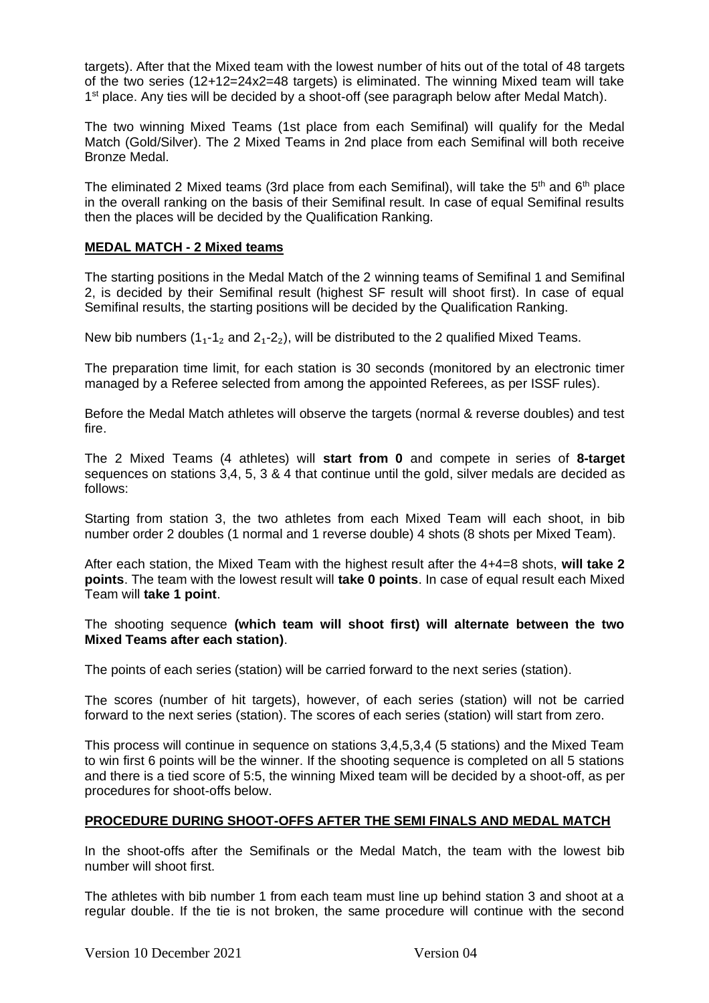targets). After that the Mixed team with the lowest number of hits out of the total of 48 targets of the two series (12+12=24x2=48 targets) is eliminated. The winning Mixed team will take 1<sup>st</sup> place. Any ties will be decided by a shoot-off (see paragraph below after Medal Match).

The two winning Mixed Teams (1st place from each Semifinal) will qualify for the Medal Match (Gold/Silver). The 2 Mixed Teams in 2nd place from each Semifinal will both receive Bronze Medal.

The eliminated 2 Mixed teams (3rd place from each Semifinal), will take the  $5<sup>th</sup>$  and  $6<sup>th</sup>$  place in the overall ranking on the basis of their Semifinal result. In case of equal Semifinal results then the places will be decided by the Qualification Ranking.

### **MEDAL MATCH - 2 Mixed teams**

The starting positions in the Medal Match of the 2 winning teams of Semifinal 1 and Semifinal 2, is decided by their Semifinal result (highest SF result will shoot first). In case of equal Semifinal results, the starting positions will be decided by the Qualification Ranking.

New bib numbers  $(1_1 - 1_2)$  and  $(2_1 - 2_2)$ , will be distributed to the 2 qualified Mixed Teams.

The preparation time limit, for each station is 30 seconds (monitored by an electronic timer managed by a Referee selected from among the appointed Referees, as per ISSF rules).

Before the Medal Match athletes will observe the targets (normal & reverse doubles) and test fire.

The 2 Mixed Teams (4 athletes) will **start from 0** and compete in series of **8-target** sequences on stations 3,4, 5, 3 & 4 that continue until the gold, silver medals are decided as follows:

Starting from station 3, the two athletes from each Mixed Team will each shoot, in bib number order 2 doubles (1 normal and 1 reverse double) 4 shots (8 shots per Mixed Team).

After each station, the Mixed Team with the highest result after the 4+4=8 shots, **will take 2 points**. The team with the lowest result will **take 0 points**. In case of equal result each Mixed Team will **take 1 point**.

The shooting sequence **(which team will shoot first) will alternate between the two Mixed Teams after each station)**.

The points of each series (station) will be carried forward to the next series (station).

The scores (number of hit targets), however, of each series (station) will not be carried forward to the next series (station). The scores of each series (station) will start from zero.

This process will continue in sequence on stations 3,4,5,3,4 (5 stations) and the Mixed Team to win first 6 points will be the winner. If the shooting sequence is completed on all 5 stations and there is a tied score of 5:5, the winning Mixed team will be decided by a shoot-off, as per procedures for shoot-offs below.

### **PROCEDURE DURING SHOOT-OFFS AFTER THE SEMI FINALS AND MEDAL MATCH**

In the shoot-offs after the Semifinals or the Medal Match, the team with the lowest bib number will shoot first.

The athletes with bib number 1 from each team must line up behind station 3 and shoot at a regular double. If the tie is not broken, the same procedure will continue with the second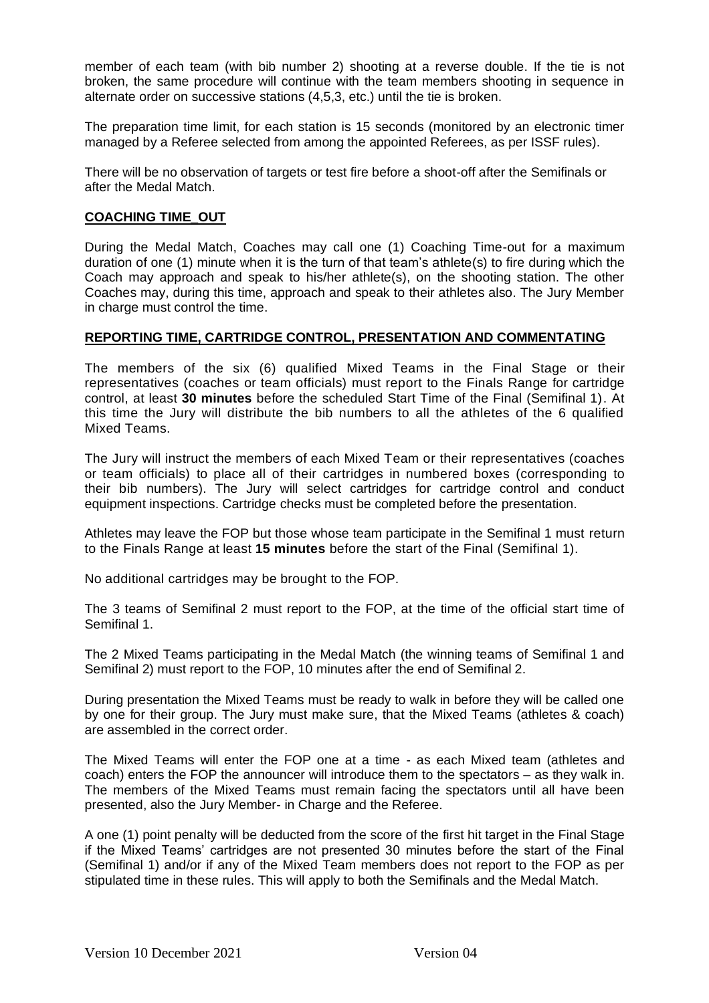member of each team (with bib number 2) shooting at a reverse double. If the tie is not broken, the same procedure will continue with the team members shooting in sequence in alternate order on successive stations (4,5,3, etc.) until the tie is broken.

The preparation time limit, for each station is 15 seconds (monitored by an electronic timer managed by a Referee selected from among the appointed Referees, as per ISSF rules).

There will be no observation of targets or test fire before a shoot-off after the Semifinals or after the Medal Match.

#### **COACHING TIME\_OUT**

During the Medal Match, Coaches may call one (1) Coaching Time-out for a maximum duration of one (1) minute when it is the turn of that team's athlete(s) to fire during which the Coach may approach and speak to his/her athlete(s), on the shooting station. The other Coaches may, during this time, approach and speak to their athletes also. The Jury Member in charge must control the time.

#### **REPORTING TIME, CARTRIDGE CONTROL, PRESENTATION AND COMMENTATING**

The members of the six (6) qualified Mixed Teams in the Final Stage or their representatives (coaches or team officials) must report to the Finals Range for cartridge control, at least **30 minutes** before the scheduled Start Time of the Final (Semifinal 1). At this time the Jury will distribute the bib numbers to all the athletes of the 6 qualified Mixed Teams.

The Jury will instruct the members of each Mixed Team or their representatives (coaches or team officials) to place all of their cartridges in numbered boxes (corresponding to their bib numbers). The Jury will select cartridges for cartridge control and conduct equipment inspections. Cartridge checks must be completed before the presentation.

Athletes may leave the FOP but those whose team participate in the Semifinal 1 must return to the Finals Range at least **15 minutes** before the start of the Final (Semifinal 1).

No additional cartridges may be brought to the FOP.

The 3 teams of Semifinal 2 must report to the FOP, at the time of the official start time of Semifinal 1.

The 2 Mixed Teams participating in the Medal Match (the winning teams of Semifinal 1 and Semifinal 2) must report to the FOP, 10 minutes after the end of Semifinal 2.

During presentation the Mixed Teams must be ready to walk in before they will be called one by one for their group. The Jury must make sure, that the Mixed Teams (athletes & coach) are assembled in the correct order.

The Mixed Teams will enter the FOP one at a time - as each Mixed team (athletes and coach) enters the FOP the announcer will introduce them to the spectators – as they walk in. The members of the Mixed Teams must remain facing the spectators until all have been presented, also the Jury Member- in Charge and the Referee.

A one (1) point penalty will be deducted from the score of the first hit target in the Final Stage if the Mixed Teams' cartridges are not presented 30 minutes before the start of the Final (Semifinal 1) and/or if any of the Mixed Team members does not report to the FOP as per stipulated time in these rules. This will apply to both the Semifinals and the Medal Match.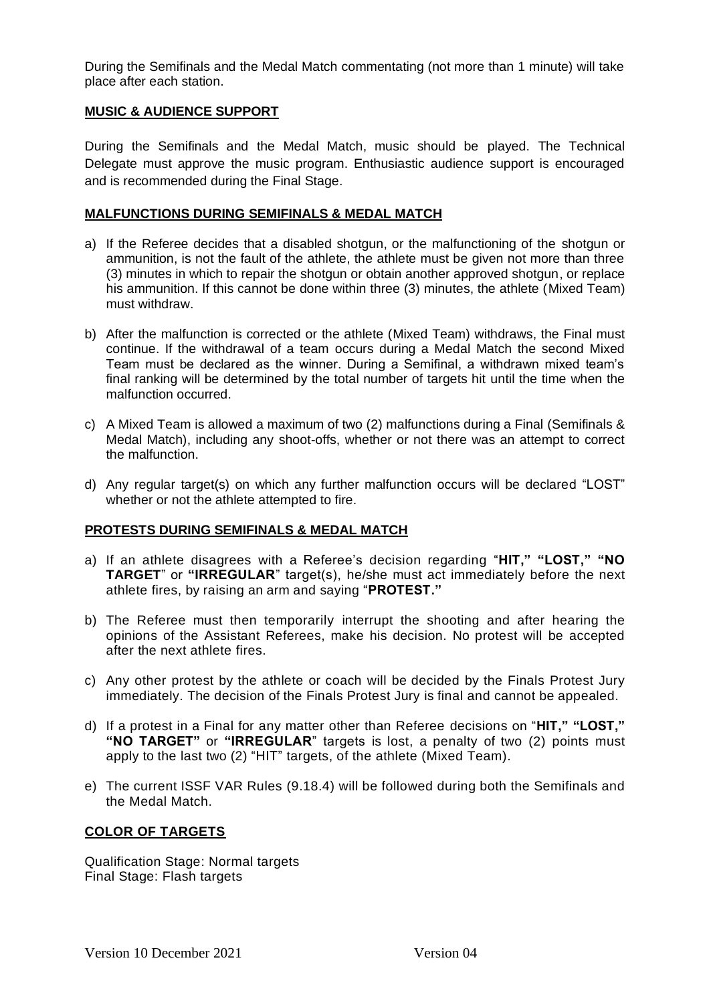During the Semifinals and the Medal Match commentating (not more than 1 minute) will take place after each station.

#### **MUSIC & AUDIENCE SUPPORT**

During the Semifinals and the Medal Match, music should be played. The Technical Delegate must approve the music program. Enthusiastic audience support is encouraged and is recommended during the Final Stage.

#### **MALFUNCTIONS DURING SEMIFINALS & MEDAL MATCH**

- a) If the Referee decides that a disabled shotgun, or the malfunctioning of the shotgun or ammunition, is not the fault of the athlete, the athlete must be given not more than three (3) minutes in which to repair the shotgun or obtain another approved shotgun, or replace his ammunition. If this cannot be done within three (3) minutes, the athlete (Mixed Team) must withdraw.
- b) After the malfunction is corrected or the athlete (Mixed Team) withdraws, the Final must continue. If the withdrawal of a team occurs during a Medal Match the second Mixed Team must be declared as the winner. During a Semifinal, a withdrawn mixed team's final ranking will be determined by the total number of targets hit until the time when the malfunction occurred.
- c) A Mixed Team is allowed a maximum of two (2) malfunctions during a Final (Semifinals & Medal Match), including any shoot-offs, whether or not there was an attempt to correct the malfunction.
- d) Any regular target(s) on which any further malfunction occurs will be declared "LOST" whether or not the athlete attempted to fire.

### **PROTESTS DURING SEMIFINALS & MEDAL MATCH**

- a) If an athlete disagrees with a Referee's decision regarding "**HIT," "LOST," "NO TARGET**" or **"IRREGULAR**" target(s), he/she must act immediately before the next athlete fires, by raising an arm and saying "**PROTEST."**
- b) The Referee must then temporarily interrupt the shooting and after hearing the opinions of the Assistant Referees, make his decision. No protest will be accepted after the next athlete fires.
- c) Any other protest by the athlete or coach will be decided by the Finals Protest Jury immediately. The decision of the Finals Protest Jury is final and cannot be appealed.
- d) If a protest in a Final for any matter other than Referee decisions on "**HIT," "LOST," "NO TARGET"** or **"IRREGULAR**" targets is lost, a penalty of two (2) points must apply to the last two (2) "HIT" targets, of the athlete (Mixed Team).
- e) The current ISSF VAR Rules (9.18.4) will be followed during both the Semifinals and the Medal Match.

#### **COLOR OF TARGETS**

Qualification Stage: Normal targets Final Stage: Flash targets